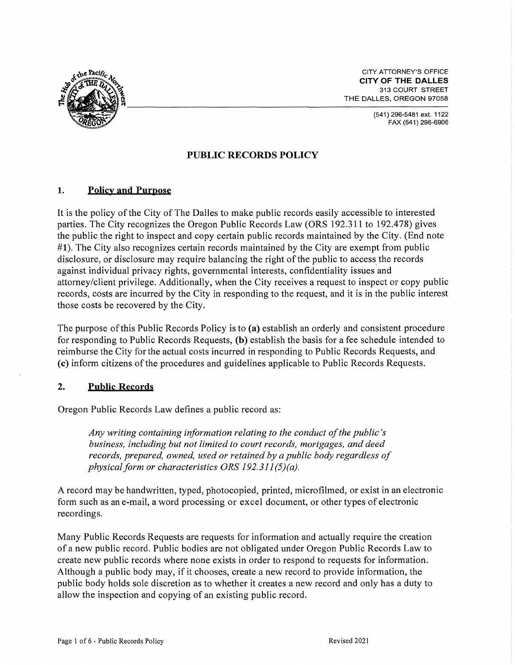

CITY ATTORNEY'S OFFICE **CITY OF THE DALLES**  313 COURT STREET THE DALLES, OREGON 97058

> (541)296-5481 ext. 1122 FAX (541) 296-6906

# **PUBLIC RECORDS POLICY**

## **1. Policy and Purpose**

It is the policy of the City of The Dalles to make public records easily accessible to interested parties. The City recognizes the Oregon Public Records Law (ORS 192.311 to 192.478) gives the public the right to inspect and copy certain public records maintained by the City. (End note **#1).** The City also recognizes certain records maintained by the City are exempt from public disclosure, or disclosure may require balancing the right of the public to access the records against individual privacy rights, governmental interests, confidentiality issues and attorney/client privilege. Additionally, when the City receives a request to inspect or copy public records, costs are incurred by the City in responding to the request, and it is in the public interest those costs be recovered by the City.

The purpose of this Public Records Policy is to **(a)** establish an orderly and consistent procedure for responding to Public Records Requests, **(b)** establish the basis for a fee schedule intended to reimburse the City for the actual costs incurred in responding to Public Records Requests, and **(c)** inform citizens of the procedures and guidelines applicable to Public Records Requests.

## **2. Public Records**

Oregon Public Records Law defines a public record as:

*Any writing containing information relating to the conduct of the public's business, including but not limited to court records, mortgages, and deed records, prepared, owned, used or retained by a public body regardless of physical form or characteristics ORS 192.311 (5)(a).* 

A record may be handwritten, typed, photocopied, printed, microfilmed, or exist in an electronic form such as an e-mail, a word processing or excel document, or other types of electronic recordings.

Many Public Records Requests are requests for information and actually require the creation of a new public record. Public bodies are not obligated under Oregon Public Records Law to create new public records where none exists in order to respond to requests for information. Although a public body may, if it chooses, create a new record to provide information, the public body holds sole discretion as to whether it creates a new record and only has a duty to allow the inspection and copying of an existing public record.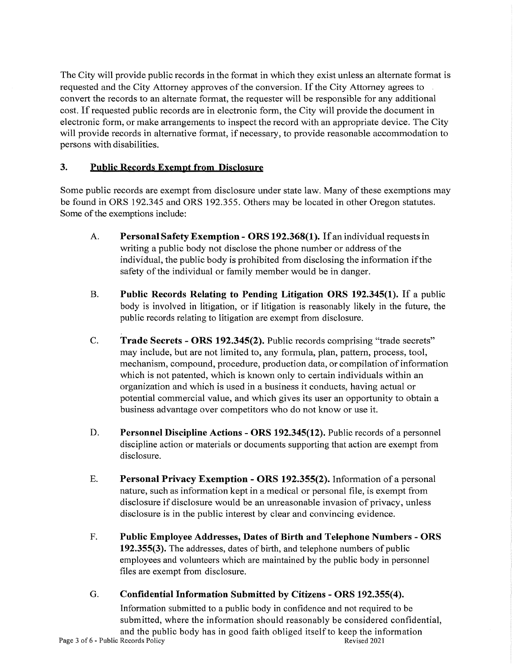The City will provide public records in the format in which they exist unless an alternate format is requested and the City Attorney approves of the conversion. If the City Attorney agrees to convert the records to an alternate format, the requester will be responsible for any additional cost. If requested public records are in electronic form, the City will provide the document in electronic form, or make arrangements to inspect the record with an appropriate device. The City will provide records in alternative format, if necessary, to provide reasonable accommodation to persons with disabilities.

## **3. Public Records Exempt from Disclosure**

Some public records are exempt from disclosure under state law. Many of these exemptions may be found in ORS 192.345 and ORS 192.355. Others may be located in other Oregon statutes. Some of the exemptions include:

- A. **Personal Safety Exemption - ORS 192.368(1).** If an individual requests in writing a public body not disclose the phone number or address of the individual, the public body is prohibited from disclosing the information if the safety of the individual or family member would be in danger.
- B. **Public Records Relating to Pending Litigation ORS 192.345(1).** If a public body is involved in litigation, or if litigation is reasonably likely in the future, the public records relating to litigation are exempt from disclosure.
- C. **Trade Secrets - ORS 192.345(2).** Public records comprising "trade secrets" may include, but are not limited to, any formula, plan, pattern, process, tool, mechanism, compound, procedure, production data, or compilation of information which is not patented, which is known only to certain individuals within an organization and which is used in a business it conducts, having actual or potential commercial value, and which gives its user an opportunity to obtain a business advantage over competitors who do not know or use it.
- D. **Personnel Discipline Actions - ORS 192.345(12).** Public records of a personnel discipline action or materials or documents supporting that action are exempt from disclosure.
- E. **Personal Privacy Exemption - ORS 192.355(2).** Information of a personal nature, such as information kept in a medical or personal file, is exempt from disclosure if disclosure would be an unreasonable invasion of privacy, unless disclosure is in the public interest by clear and convincing evidence.
- F. **Public Employee Addresses, Dates of Birth and Telephone Numbers - ORS 192.355(3).** The addresses, dates of birth, and telephone numbers of public employees and volunteers which are maintained by the public body in personnel files are exempt from disclosure.
- G. **Confidential Information Submitted by Citizens - ORS 192.355(4).**

Information submitted to a public body in confidence and not required to be submitted, where the information should reasonably be considered confidential, and the public body has in good faith obliged itself to keep the information Records Policy<br>Records 2021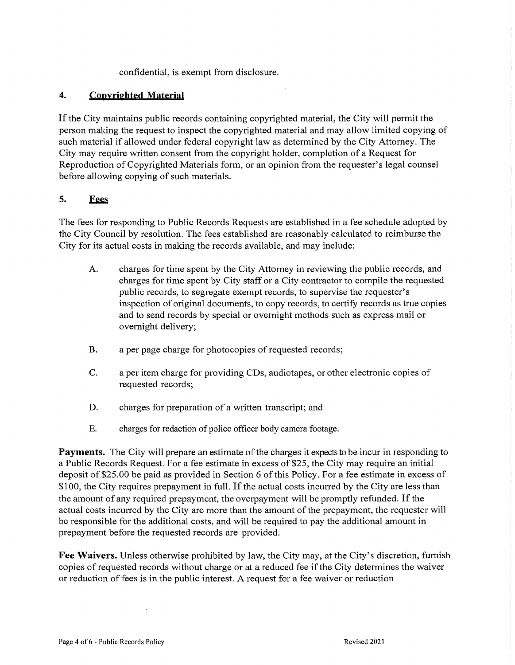confidential, is exempt from disclosure.

## **4.** Copyrighted Material

If the City maintains public records containing copyrighted material, the City will permit the person making the request to inspect the copyrighted material and may allow limited copying of such material if allowed under federal copyright law as determined by the City Attorney. The City may require written consent from the copyright holder, completion of a Request for Reproduction of Copyrighted Materials form, or an opinion from the requester's legal counsel before allowing copying of such materials.

## **5.** ~

The fees for responding to Public Records Requests are established in a fee schedule adopted by the City Council by resolution. The fees established are reasonably calculated to reimburse the City for its actual costs in making the records available, and may include:

- A. charges for time spent by the City Attorney in reviewing the public records, and charges for time spent by City staff or a City contractor to compile the requested public records, to segregate exempt records, to supervise the requester's inspection of original documents, to copy records, to certify records as true copies and to send records by special or overnight methods such as express mail or overnight delivery;
- B. a per page charge for photocopies of requested records;
- C. a per item charge for providing CDs, audiotapes, or other electronic copies of requested records;
- D. charges for preparation of a written transcript; and
- E. charges for redaction of police officer body camera footage.

**Payments.** The City will prepare an estimate of the charges it expects to be incur in responding to a Public Records Request. For a fee estimate in excess of \$25, the City may require an initial deposit of \$25.00 be paid as provided in Section 6 of this Policy. For a fee estimate in excess of \$100, the City requires prepayment in full. If the actual costs incurred by the City are less than the amount of any required prepayment, the overpayment will be promptly refunded. If the actual costs incurred by the City are more than the amount of the prepayment, the requester will be responsible for the additional costs, and will be required to pay the additional amount in prepayment before the requested records are provided.

**Fee Waivers.** Unless otherwise prohibited by law, the City may, at the City's discretion, furnish copies of requested records without charge or at a reduced fee if the City determines the waiver or reduction of fees is in the public interest. A request for a fee waiver or reduction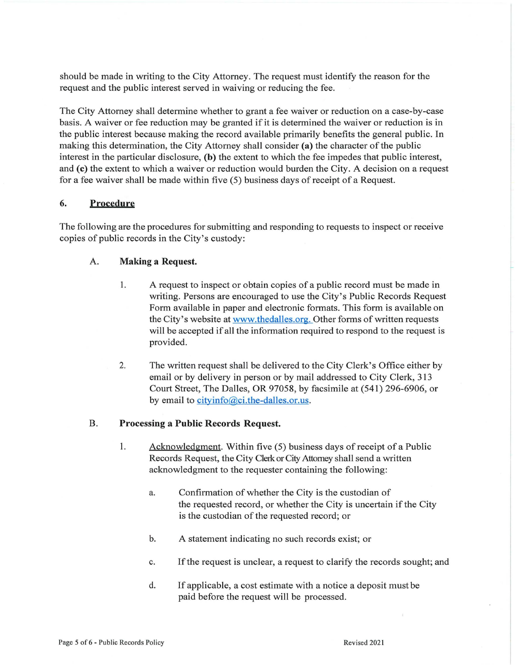should be made in writing to the City Attorney. The request must identify the reason for the request and the public interest served in waiving or reducing the fee.

The City Attorney shall determine whether to grant a fee waiver or reduction on a case-by-case basis. A waiver or fee reduction may be granted if it is determined the waiver or reduction is in the public interest because making the record available primarily benefits the general public. In making this determination, the City Attorney shall consider (a) the character of the public interest in the particular disclosure, **(b)** the extent to which the fee impedes that public interest, and **(c)** the extent to which a waiver or reduction would burden the City. A decision on a request for a fee waiver shall be made within five (5) business days of receipt of a Request.

### **6. Procedure**

The following are the procedures for submitting and responding to requests to inspect or receive copies of public records in the City's custody:

### A. **Making a Request.**

- 1. A request to inspect or obtain copies of a public record must be made in writing. Persons are encouraged to use the City's Public Records Request Form available in paper and electronic formats. This form is available on the City's website at www.thedalles.org. Other forms of written requests will be accepted if all the information required to respond to the request is provided.
- 2. The written request shall be delivered to the City Clerk's Office either by email or by delivery in person or by mail addressed to City Clerk, 313 Court Street, The Dalles, OR 97058, by facsimile at (541) 296-6906, or by email to cityinfo@ci.the-dalles.or.us.

#### B. **Processing a Public Records Request.**

- 1. Acknowledgment. Within five (5) business days of receipt of a Public Records Request, the City Clerk or City Attorney shall send a written acknowledgment to the requester containing the following:
	- a. Confirmation of whether the City is the custodian of the requested record, or whether the City is uncertain if the City is the custodian of the requested record; or
	- b. A statement indicating no such records exist; or
	- c. If the request is unclear, a request to clarify the records sought; and
	- d. If applicable, a cost estimate with a notice a deposit must be paid before the request will be processed.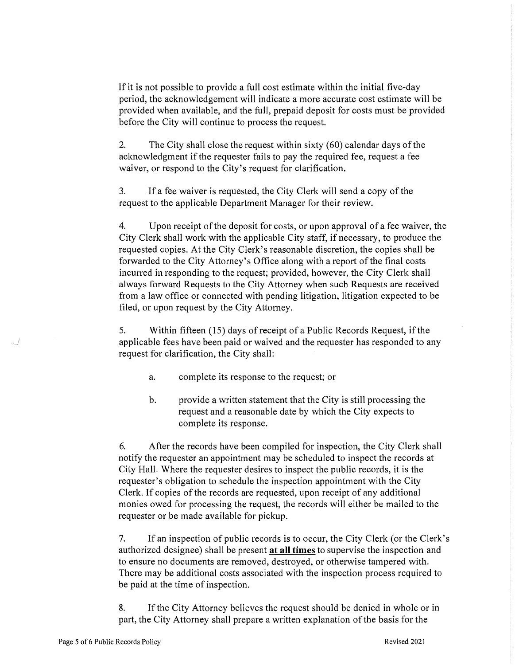If it is not possible to provide a full cost estimate within the initial five-day period, the acknowledgement will indicate a more accurate cost estimate will be provided when available, and the full, prepaid deposit for costs must be provided before the City will continue to process the request.

2. The City shall close the request within sixty (60) calendar days of the acknowledgment if the requester fails to pay the required fee, request a fee waiver, or respond to the City's request for clarification.

3. If a fee waiver is requested, the City Clerk will send a copy of the request to the applicable Department Manager for their review.

4. Upon receipt of the deposit for costs, or upon approval of a fee waiver, the City Clerk shall work with the applicable City staff, if necessary, to produce the requested copies. At the City Clerk's reasonable discretion, the copies shall be forwarded to the City Attorney's Office along with a report of the final costs incurred in responding to the request; provided, however, the City Clerk shall always forward Requests to the City Attorney when such Requests are received from a law office or connected with pending litigation, litigation expected to be filed, or upon request by the City Attorney.

5. Within fifteen (15) days of receipt of a Public Records Request, if the applicable fees have been paid or waived and the requester has responded to any request for clarification, the City shall:

- a. complete its response to the request; or
- b. provide a written statement that the City is still processing the request and a reasonable date by which the City expects to complete its response.

6. After the records have been compiled for inspection, the City Clerk shall notify the requester an appointment may be scheduled to inspect the records at City Hall. Where the requester desires to inspect the public records, it is the requester's obligation to schedule the inspection appointment with the City Clerk. If copies of the records are requested, upon receipt of any additional monies owed for processing the request, the records will either be mailed to the requester or be made available for pickup.

7. If an inspection of public records is to occur, the City Clerk (or the Clerk's authorized designee) shall be present **at all times** to supervise the inspection and to ensure no documents are removed, destroyed, or otherwise tampered with. There may be additional costs associated with the inspection process required to be paid at the time of inspection.

8. If the City Attorney believes the request should be denied in whole or in part, the City Attorney shall prepare a written explanation of the basis for the